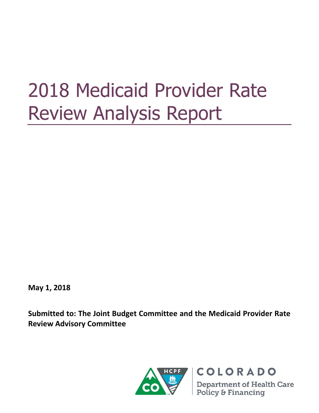# 2018 Medicaid Provider Rate Review Analysis Report

**May 1, 2018**

**Submitted to: The Joint Budget Committee and the Medicaid Provider Rate Review Advisory Committee**

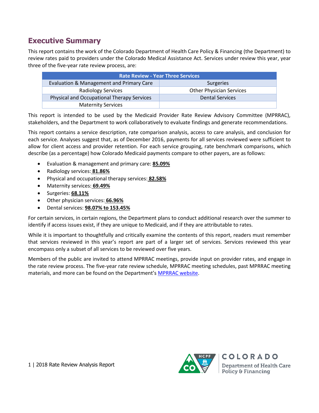# **Executive Summary**

This report contains the work of the Colorado Department of Health Care Policy & Financing (the Department) to review rates paid to providers under the Colorado Medical Assistance Act. Services under review this year, year three of the five-year rate review process, are:

| <b>Rate Review - Year Three Services</b>   |                                 |  |
|--------------------------------------------|---------------------------------|--|
| Evaluation & Management and Primary Care   | Surgeries                       |  |
| <b>Radiology Services</b>                  | <b>Other Physician Services</b> |  |
| Physical and Occupational Therapy Services | <b>Dental Services</b>          |  |
| <b>Maternity Services</b>                  |                                 |  |

This report is intended to be used by the Medicaid Provider Rate Review Advisory Committee (MPRRAC), stakeholders, and the Department to work collaboratively to evaluate findings and generate recommendations.

This report contains a service description, rate comparison analysis, access to care analysis, and conclusion for each service. Analyses suggest that, as of December 2016, payments for all services reviewed were sufficient to allow for client access and provider retention. For each service grouping, rate benchmark comparisons, which describe (as a percentage) how Colorado Medicaid payments compare to other payers, are as follows:

- Evaluation & management and primary care: **85.09%**
- Radiology services: **81.86%**
- Physical and occupational therapy services: **82.58%**
- Maternity services: **69.49%**
- Surgeries: **68.11%**
- Other physician services: **66.96%**
- Dental services: **98.07% to 153.45%**

For certain services, in certain regions, the Department plans to conduct additional research over the summer to identify if access issues exist, if they are unique to Medicaid, and if they are attributable to rates.

While it is important to thoughtfully and critically examine the contents of this report, readers must remember that services reviewed in this year's report are part of a larger set of services. Services reviewed this year encompass only a subset of all services to be reviewed over five years.

Members of the public are invited to attend MPRRAC meetings, provide input on provider rates, and engage in the rate review process. The five-year rate review schedule, MPRRAC meeting schedules, past MPRRAC meeting materials, and more can be found on the Department's [MPRRAC website.](https://www.colorado.gov/pacific/hcpf/medicaid-provider-rate-review-advisory-committee)

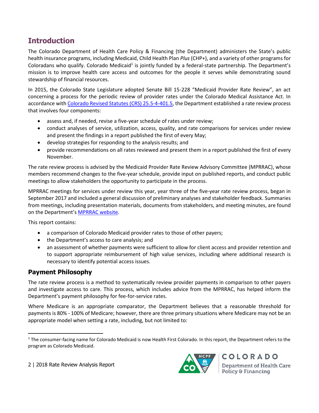# **Introduction**

The Colorado Department of Health Care Policy & Financing (the Department) administers the State's public health insurance programs, including Medicaid, Child Health Plan *Plus* (CHP+), and a variety of other programs for Coloradans who qualify. Colorado Medicaid<sup>1</sup> is jointly funded by a federal-state partnership. The Department's mission is to improve health care access and outcomes for the people it serves while demonstrating sound stewardship of financial resources.

In 2015, the Colorado State Legislature adopted Senate Bill 15-228 "Medicaid Provider Rate Review", an act concerning a process for the periodic review of provider rates under the Colorado Medical Assistance Act. In accordance wit[h Colorado Revised Statutes \(CRS\)](https://advance.lexis.com/container?config=0345494EJAA5ZjE0MDIyYy1kNzZkLTRkNzktYTkxMS04YmJhNjBlNWUwYzYKAFBvZENhdGFsb2e4CaPI4cak6laXLCWyLBO9&crid=b938614a-ad0f-4762-81b1-4b1f233cf676) 25.5-4-401.5, the Department established a rate review process that involves four components:

- assess and, if needed, revise a five-year schedule of rates under review;
- conduct analyses of service, utilization, access, quality, and rate comparisons for services under review and present the findings in a report published the first of every May;
- develop strategies for responding to the analysis results; and
- provide recommendations on all rates reviewed and present them in a report published the first of every November.

The rate review process is advised by the Medicaid Provider Rate Review Advisory Committee (MPRRAC), whose members recommend changes to the five-year schedule, provide input on published reports, and conduct public meetings to allow stakeholders the opportunity to participate in the process.

MPRRAC meetings for services under review this year, year three of the five-year rate review process, began in September 2017 and included a general discussion of preliminary analyses and stakeholder feedback. Summaries from meetings, including presentation materials, documents from stakeholders, and meeting minutes, are found on the Department's [MPRRAC website.](https://www.colorado.gov/pacific/hcpf/medicaid-provider-rate-review-advisory-committee)

This report contains:

- a comparison of Colorado Medicaid provider rates to those of other payers;
- the Department's access to care analysis; and
- an assessment of whether payments were sufficient to allow for client access and provider retention and to support appropriate reimbursement of high value services, including where additional research is necessary to identify potential access issues.

## **Payment Philosophy**

 $\overline{\phantom{a}}$ 

The rate review process is a method to systematically review provider payments in comparison to other payers and investigate access to care. This process, which includes advice from the MPRRAC, has helped inform the Department's payment philosophy for fee-for-service rates.

Where Medicare is an appropriate comparator, the Department believes that a reasonable threshold for payments is 80% - 100% of Medicare; however, there are three primary situations where Medicare may not be an appropriate model when setting a rate, including, but not limited to:

2 | 2018 Rate Review Analysis Report



<sup>&</sup>lt;sup>1</sup> The consumer-facing name for Colorado Medicaid is now Health First Colorado. In this report, the Department refers to the program as Colorado Medicaid.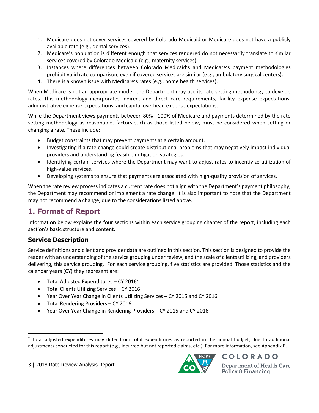- 1. Medicare does not cover services covered by Colorado Medicaid or Medicare does not have a publicly available rate (e.g., dental services).
- 2. Medicare's population is different enough that services rendered do not necessarily translate to similar services covered by Colorado Medicaid (e.g., maternity services).
- 3. Instances where differences between Colorado Medicaid's and Medicare's payment methodologies prohibit valid rate comparison, even if covered services are similar (e.g., ambulatory surgical centers).
- 4. There is a known issue with Medicare's rates (e.g., home health services).

When Medicare is not an appropriate model, the Department may use its rate setting methodology to develop rates. This methodology incorporates indirect and direct care requirements, facility expense expectations, administrative expense expectations, and capital overhead expense expectations.

While the Department views payments between 80% - 100% of Medicare and payments determined by the rate setting methodology as reasonable, factors such as those listed below, must be considered when setting or changing a rate. These include:

- Budget constraints that may prevent payments at a certain amount.
- Investigating if a rate change could create distributional problems that may negatively impact individual providers and understanding feasible mitigation strategies.
- Identifying certain services where the Department may want to adjust rates to incentivize utilization of high-value services.
- Developing systems to ensure that payments are associated with high-quality provision of services.

When the rate review process indicates a current rate does not align with the Department's payment philosophy, the Department may recommend or implement a rate change. It is also important to note that the Department may not recommend a change, due to the considerations listed above.

# **1. Format of Report**

Information below explains the four sections within each service grouping chapter of the report, including each section's basic structure and content.

## **Service Description**

 $\overline{\phantom{a}}$ 

Service definitions and client and provider data are outlined in this section. This section is designed to provide the reader with an understanding of the service grouping under review, and the scale of clients utilizing, and providers delivering, this service grouping. For each service grouping, five statistics are provided. Those statistics and the calendar years (CY) they represent are:

- Total Adjusted Expenditures CY 2016<sup>2</sup>
- Total Clients Utilizing Services CY 2016
- Year Over Year Change in Clients Utilizing Services CY 2015 and CY 2016
- Total Rendering Providers CY 2016
- Year Over Year Change in Rendering Providers CY 2015 and CY 2016



 $<sup>2</sup>$  Total adjusted expenditures may differ from total expenditures as reported in the annual budget, due to additional</sup> adjustments conducted for this report (e.g., incurred but not reported claims, etc.). For more information, see Appendix B.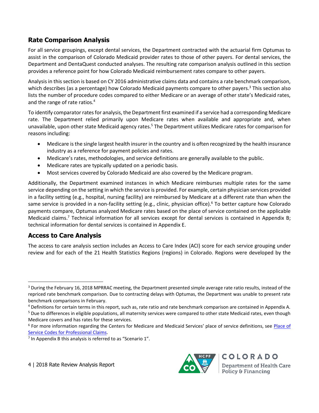## **Rate Comparison Analysis**

For all service groupings, except dental services, the Department contracted with the actuarial firm Optumas to assist in the comparison of Colorado Medicaid provider rates to those of other payers. For dental services, the Department and DentaQuest conducted analyses. The resulting rate comparison analysis outlined in this section provides a reference point for how Colorado Medicaid reimbursement rates compare to other payers.

Analysis in this section is based on CY 2016 administrative claims data and contains a rate benchmark comparison, which describes (as a percentage) how Colorado Medicaid payments compare to other payers.<sup>3</sup> This section also lists the number of procedure codes compared to either Medicare or an average of other state's Medicaid rates, and the range of rate ratios.<sup>4</sup>

To identify comparator rates for analysis, the Department first examined if a service had a corresponding Medicare rate. The Department relied primarily upon Medicare rates when available and appropriate and, when unavailable, upon other state Medicaid agency rates.<sup>5</sup> The Department utilizes Medicare rates for comparison for reasons including:

- Medicare is the single largest health insurer in the country and is often recognized by the health insurance industry as a reference for payment policies and rates.
- Medicare's rates, methodologies, and service definitions are generally available to the public.
- Medicare rates are typically updated on a periodic basis.
- Most services covered by Colorado Medicaid are also covered by the Medicare program.

Additionally, the Department examined instances in which Medicare reimburses multiple rates for the same service depending on the setting in which the service is provided. For example, certain physician services provided in a facility setting (e.g., hospital, nursing facility) are reimbursed by Medicare at a different rate than when the same service is provided in a non-facility setting (e.g., clinic, physician office).<sup>6</sup> To better capture how Colorado payments compare, Optumas analyzed Medicare rates based on the place of service contained on the applicable Medicaid claims.<sup>7</sup> Technical information for all services except for dental services is contained in Appendix B; technical information for dental services is contained in Appendix E.

## **Access to Care Analysis**

 $\overline{\phantom{a}}$ 

The access to care analysis section includes an Access to Care Index (ACI) score for each service grouping under review and for each of the 21 Health Statistics Regions (regions) in Colorado. Regions were developed by the



 $3$  During the February 16, 2018 MPRRAC meeting, the Department presented simple average rate ratio results, instead of the repriced rate benchmark comparison. Due to contracting delays with Optumas, the Department was unable to present rate benchmark comparisons in February.

<sup>4</sup> Definitions for certain terms in this report, such as, rate ratio and rate benchmark comparison are contained in Appendix A.

<sup>&</sup>lt;sup>5</sup> Due to differences in eligible populations, all maternity services were compared to other state Medicaid rates, even though Medicare covers and has rates for these services.

<sup>&</sup>lt;sup>6</sup> For more information regarding the Centers for Medicare and Medicaid Services' place of service definitions, see *Place of* [Service Codes for Professional Claims.](https://www.cms.gov/Medicare/Coding/place-of-service-codes/Place_of_Service_Code_Set.html)

 $<sup>7</sup>$  In Appendix B this analysis is referred to as "Scenario 1".</sup>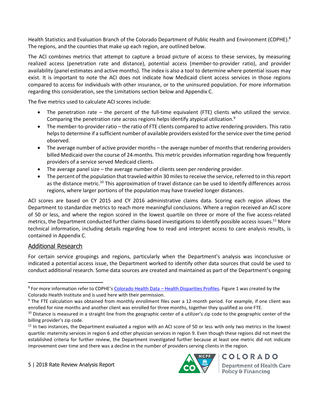Health Statistics and Evaluation Branch of the Colorado Department of Public Health and Environment (CDPHE).<sup>8</sup> The regions, and the counties that make up each region, are outlined below.

The ACI combines metrics that attempt to capture a broad picture of access to these services, by measuring realized access (penetration rate and distance), potential access (member-to-provider ratio), and provider availability (panel estimates and active months). The index is also a tool to determine where potential issues may exist. It is important to note the ACI does not indicate how Medicaid client access services in those regions compared to access for individuals with other insurance, or to the uninsured population. For more information regarding this consideration, see the Limitations section below and Appendix C.

The five metrics used to calculate ACI scores include:

- The penetration rate  $-$  the percent of the full-time equivalent (FTE) clients who utilized the service. Comparing the penetration rate across regions helps identify atypical utilization. $9$
- The member-to-provider ratio the ratio of FTE clients compared to active rendering providers. This ratio helps to determine if a sufficient number of available providers existed for the service over the time period observed.
- The average number of active provider months the average number of months that rendering providers billed Medicaid over the course of 24-months. This metric provides information regarding how frequently providers of a service served Medicaid clients.
- The average panel size the average number of clients seen per rendering provider.
- The percent of the population that traveled within 30 miles to receive the service, referred to in this report as the distance metric.<sup>10</sup> This approximation of travel distance can be used to identify differences across regions, where larger portions of the population may have traveled longer distances.

ACI scores are based on CY 2015 and CY 2016 administrative claims data. Scoring each region allows the Department to standardize metrics to reach more meaningful conclusions. Where a region received an ACI score of 50 or less, and where the region scored in the lowest quartile on three or more of the five access-related metrics, the Department conducted further claims-based investigations to identify possible access issues.<sup>11</sup> More technical information, including details regarding how to read and interpret access to care analysis results, is contained in Appendix C.

#### Additional Research

 $\overline{a}$ 

For certain service groupings and regions, particularly when the Department's analysis was inconclusive or indicated a potential access issue, the Department worked to identify other data sources that could be used to conduct additional research. Some data sources are created and maintained as part of the Department's ongoing



<sup>&</sup>lt;sup>8</sup> For more information refer to CDPHE's Colorado Health Data – [Health Disparities Profiles.](http://www.chd.dphe.state.co.us/HealthDisparitiesProfiles/dispHealthProfiles.aspx) Figure 1 was created by the Colorado Health Institute and is used here with their permission.

<sup>&</sup>lt;sup>9</sup> The FTE calculation was obtained from monthly enrollment files over a 12-month period. For example, if one client was enrolled for nine months and another client was enrolled for three months, together they qualified as one FTE.

 $10$  Distance is measured in a straight line from the geographic center of a utilizer's zip code to the geographic center of the billing provider's zip code.

 $11$  In two instances, the Department evaluated a region with an ACI score of 50 or less with only two metrics in the lowest quartile: maternity services in region 6 and other physician services in region 9. Even though these regions did not meet the established criteria for further review, the Department investigated further because at least one metric did not indicate improvement over time and there was a decline in the number of providers serving clients in the region.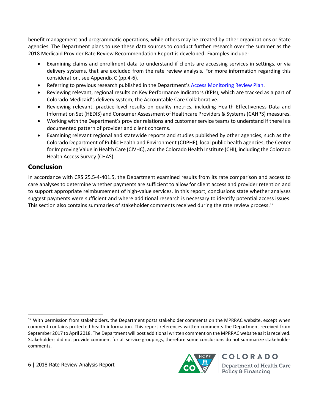benefit management and programmatic operations, while others may be created by other organizations or State agencies. The Department plans to use these data sources to conduct further research over the summer as the 2018 Medicaid Provider Rate Review Recommendation Report is developed. Examples include:

- Examining claims and enrollment data to understand if clients are accessing services in settings, or via delivery systems, that are excluded from the rate review analysis. For more information regarding this consideration, see Appendix C (pp.4-6).
- Referring to previous research published in the Department's [Access Monitoring Review Plan.](https://www.colorado.gov/pacific/hcpf/access-monitoring-review-plan)
- Reviewing relevant, regional results on Key Performance Indicators (KPIs), which are tracked as a part of Colorado Medicaid's delivery system, the Accountable Care Collaborative.
- Reviewing relevant, practice-level results on quality metrics, including Health Effectiveness Data and Information Set (HEDIS) and Consumer Assessment of Healthcare Providers & Systems (CAHPS) measures.
- Working with the Department's provider relations and customer service teams to understand if there is a documented pattern of provider and client concerns.
- Examining relevant regional and statewide reports and studies published by other agencies, such as the Colorado Department of Public Health and Environment (CDPHE), local public health agencies, the Center for Improving Value in Health Care (CIVHC), and the Colorado Health Institute (CHI), including the Colorado Health Access Survey (CHAS).

## **Conclusion**

 $\overline{\phantom{a}}$ 

In accordance with CRS 25.5-4-401.5, the Department examined results from its rate comparison and access to care analyses to determine whether payments are sufficient to allow for client access and provider retention and to support appropriate reimbursement of high-value services. In this report, conclusions state whether analyses suggest payments were sufficient and where additional research is necessary to identify potential access issues. This section also contains summaries of stakeholder comments received during the rate review process.<sup>12</sup>



<sup>&</sup>lt;sup>12</sup> With permission from stakeholders, the Department posts stakeholder comments on the MPRRAC website, except when comment contains protected health information. This report references written comments the Department received from September 2017 to April 2018. The Department will post additional written comment on the MPRRAC website as it is received. Stakeholders did not provide comment for all service groupings, therefore some conclusions do not summarize stakeholder comments.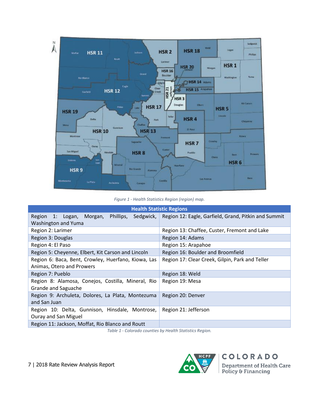

*Figure 1 - Health Statistics Region (region) map.*

| <b>Health Statistic Regions</b>                     |                                                                  |
|-----------------------------------------------------|------------------------------------------------------------------|
| Region 1: Logan,<br>Phillips,<br>Morgan,            | Sedgwick,   Region 12: Eagle, Garfield, Grand, Pitkin and Summit |
| Washington and Yuma                                 |                                                                  |
| Region 2: Larimer                                   | Region 13: Chaffee, Custer, Fremont and Lake                     |
| Region 3: Douglas                                   | Region 14: Adams                                                 |
| Region 4: El Paso                                   | Region 15: Arapahoe                                              |
| Region 5: Cheyenne, Elbert, Kit Carson and Lincoln  | Region 16: Boulder and Broomfield                                |
| Region 6: Baca, Bent, Crowley, Huerfano, Kiowa, Las | Region 17: Clear Creek, Gilpin, Park and Teller                  |
| Animas, Otero and Prowers                           |                                                                  |
| Region 7: Pueblo                                    | Region 18: Weld                                                  |
| Region 8: Alamosa, Conejos, Costilla, Mineral, Rio  | Region 19: Mesa                                                  |
| Grande and Saguache                                 |                                                                  |
| Region 9: Archuleta, Dolores, La Plata, Montezuma   | Region 20: Denver                                                |
| and San Juan                                        |                                                                  |
| Region 10: Delta, Gunnison, Hinsdale, Montrose,     | Region 21: Jefferson                                             |
| Ouray and San Miguel                                |                                                                  |
| Region 11: Jackson, Moffat, Rio Blanco and Routt    |                                                                  |

*Table 1 - Colorado counties by Health Statistics Region.*

7 | 2018 Rate Review Analysis Report

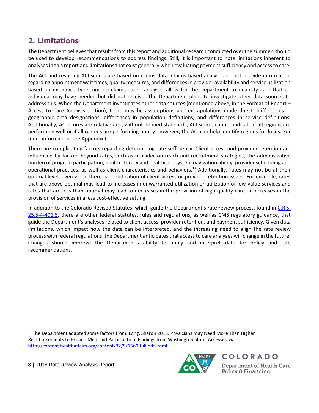# **2. Limitations**

The Department believes that results from this report and additional research conducted over the summer, should be used to develop recommendations to address findings. Still, it is important to note limitations inherent to analyses in this report and limitations that exist generally when evaluating payment sufficiency and access to care.

The ACI and resulting ACI scores are based on claims data. Claims-based analyses do not provide information regarding appointment wait times, quality measures, and differences in provider availability and service utilization based on insurance type, nor do claims-based analyses allow for the Department to quantify care that an individual may have needed but did not receive. The Department plans to investigate other data sources to address this. When the Department investigates other data sources (mentioned above, in the Format of Report – Access to Care Analysis section), there may be assumptions and extrapolations made due to differences in geographic area designations, differences in population definitions, and differences in service definitions. Additionally, ACI scores are relative and, without defined standards, ACI scores cannot indicate if all regions are performing well or if all regions are performing poorly; however, the ACI can help identify regions for focus. For more information, see Appendix C.

There are complicating factors regarding determining rate sufficiency. Client access and provider retention are influenced by factors beyond rates, such as provider outreach and recruitment strategies, the administrative burden of program participation, health literacy and healthcare system navigation ability, provider scheduling and operational practices, as well as client characteristics and behaviors.<sup>13</sup> Additionally, rates may not be at their optimal level, even when there is no indication of client access or provider retention issues. For example, rates that are above optimal may lead to increases in unwarranted utilization or utilization of low-value services and rates that are less than optimal may lead to decreases in the provision of high-quality care or increases in the provision of services in a less cost-effective setting.

In addition to the Colorado Revised Statutes, which guide the Department's rate review process, found in C.R.S. [25.5-4-401.5,](https://advance.lexis.com/container?config=0345494EJAA5ZjE0MDIyYy1kNzZkLTRkNzktYTkxMS04YmJhNjBlNWUwYzYKAFBvZENhdGFsb2e4CaPI4cak6laXLCWyLBO9&crid=b938614a-ad0f-4762-81b1-4b1f233cf676) there are other federal statutes, rules and regulations, as well as CMS regulatory guidance, that guide the Department's analyses related to client access, provider retention, and payment sufficiency. Given data limitations, which impact how the data can be interpreted, and the increasing need to align the rate review process with federal regulations, the Department anticipates that access to care analyses will change in the future. Changes should improve the Department's ability to apply and interpret data for policy and rate recommendations.

8 | 2018 Rate Review Analysis Report

 $\overline{a}$ 



<sup>&</sup>lt;sup>13</sup> The Department adapted some factors from: Long, Sharon 2013. Physicians May Need More Than Higher Reimbursements to Expand Medicaid Participation: Findings from Washington State. Accessed via <http://content.healthaffairs.org/content/32/9/1560.full.pdf+html>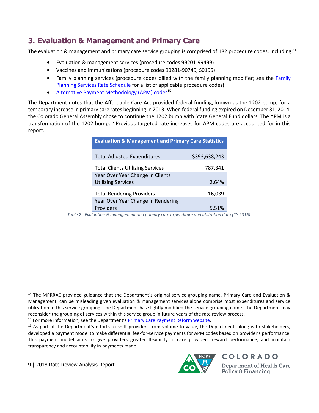# **3. Evaluation & Management and Primary Care**

The evaluation & management and primary care service grouping is comprised of 182 procedure codes, including:<sup>14</sup>

- Evaluation & management services (procedure codes 99201-99499)
- Vaccines and immunizations (procedure codes 90281-90749, S0195)
- • [Family](https://www.colorado.gov/pacific/sites/default/files/Family%20Planning%20Rate%20Schedule%20FY2017-18%20Final1.pdf) planning services (procedure codes billed with the family planning modifier; see the Family [Planning Services Rate Schedule](https://www.colorado.gov/pacific/sites/default/files/Family%20Planning%20Rate%20Schedule%20FY2017-18%20Final1.pdf) for a list of applicable procedure codes)
- [Alternative Payment Methodology \(APM\) codes](https://www.colorado.gov/pacific/sites/default/files/Alternative%20Payment%20Methodology%20Benefit%20Package.pdf)<sup>15</sup>

The Department notes that the Affordable Care Act provided federal funding, known as the 1202 bump, for a temporary increase in primary care rates beginning in 2013. When federal funding expired on December 31, 2014, the Colorado General Assembly chose to continue the 1202 bump with State General Fund dollars. The APM is a transformation of the 1202 bump.<sup>16</sup> Previous targeted rate increases for APM codes are accounted for in this report.

| <b>Evaluation &amp; Management and Primary Care Statistics</b> |               |  |
|----------------------------------------------------------------|---------------|--|
| <b>Total Adjusted Expenditures</b>                             | \$393,638,243 |  |
| <b>Total Clients Utilizing Services</b>                        | 787,341       |  |
| Year Over Year Change in Clients                               |               |  |
| <b>Utilizing Services</b>                                      | 2.64%         |  |
| <b>Total Rendering Providers</b>                               | 16,039        |  |
| Year Over Year Change in Rendering                             |               |  |
| Providers                                                      | 5.51%         |  |

*Table 2 - Evaluation & management and primary care expenditure and utilization data (CY 2016).*

<sup>15</sup> For more information, see the Department's [Primary Care Payment Reform website.](https://www.colorado.gov/pacific/hcpf/primary-care-payment-reform-3)

9 | 2018 Rate Review Analysis Report

 $\overline{\phantom{a}}$ 



<sup>&</sup>lt;sup>14</sup> The MPRRAC provided guidance that the Department's original service grouping name, Primary Care and Evaluation & Management, can be misleading given evaluation & management services alone comprise most expenditures and service utilization in this service grouping. The Department has slightly modified the service grouping name. The Department may reconsider the grouping of services within this service group in future years of the rate review process.

 $16$  As part of the Department's efforts to shift providers from volume to value, the Department, along with stakeholders, developed a payment model to make differential fee-for-service payments for APM codes based on provider's performance. This payment model aims to give providers greater flexibility in care provided, reward performance, and maintain transparency and accountability in payments made.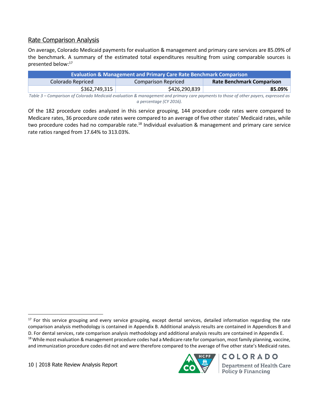#### Rate Comparison Analysis

On average, Colorado Medicaid payments for evaluation & management and primary care services are 85.09% of the benchmark. A summary of the estimated total expenditures resulting from using comparable sources is presented below:<sup>17</sup>

| <b>Evaluation &amp; Management and Primary Care Rate Benchmark Comparison</b> |                     |                                  |
|-------------------------------------------------------------------------------|---------------------|----------------------------------|
| Colorado Repriced                                                             | Comparison Repriced | <b>Rate Benchmark Comparison</b> |
| \$362,749,315                                                                 | \$426,290,839       | 85.09%                           |

*Table 3 – Comparison of Colorado Medicaid evaluation & management and primary care payments to those of other payers, expressed as a percentage (CY 2016).*

Of the 182 procedure codes analyzed in this service grouping, 144 procedure code rates were compared to Medicare rates, 36 procedure code rates were compared to an average of five other states' Medicaid rates, while two procedure codes had no comparable rate.<sup>18</sup> Individual evaluation & management and primary care service rate ratios ranged from 17.64% to 313.03%.

10 | 2018 Rate Review Analysis Report



 $\overline{\phantom{a}}$ <sup>17</sup> For this service grouping and every service grouping, except dental services, detailed information regarding the rate comparison analysis methodology is contained in Appendix B. Additional analysis results are contained in Appendices B and D. For dental services, rate comparison analysis methodology and additional analysis results are contained in Appendix E. <sup>18</sup> While most evaluation & management procedure codes had a Medicare rate for comparison, most family planning, vaccine, and immunization procedure codes did not and were therefore compared to the average of five other state's Medicaid rates.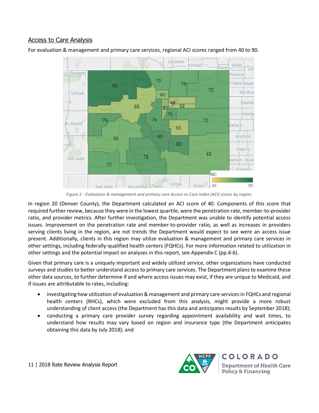#### Access to Care Analysis

For evaluation & management and primary care services, regional ACI scores ranged from 40 to 90.



*Figure 2 - Evaluation & management and primary care Access to Care Index (ACI) scores by region.*

In region 20 (Denver County), the Department calculated an ACI score of 40. Components of this score that required further review, because they were in the lowest quartile, were the penetration rate, member-to-provider ratio, and provider metrics. After further investigation, the Department was unable to identify potential access issues. Improvement on the penetration rate and member-to-provider ratio, as well as increases in providers serving clients living in the region, are not trends the Department would expect to see were an access issue present. Additionally, clients in this region may utilize evaluation & management and primary care services in other settings, including federally-qualified health centers (FQHCs). For more information related to utilization in other settings and the potential impact on analyses in this report, see Appendix C (pp.4-6).

Given that primary care is a uniquely important and widely utilized service, other organizations have conducted surveys and studies to better understand access to primary care services. The Department plans to examine these other data sources, to further determine if and where access issues may exist, if they are unique to Medicaid, and if issues are attributable to rates, including:

- investigating how utilization of evaluation & management and primary care services in FQHCs and regional health centers (RHCs), which were excluded from this analysis, might provide a more robust understanding of client access (the Department has this data and anticipates results by September 2018);
- conducting a primary care provider survey regarding appointment availability and wait times, to understand how results may vary based on region and insurance type (the Department anticipates obtaining this data by July 2018); and

11 | 2018 Rate Review Analysis Report

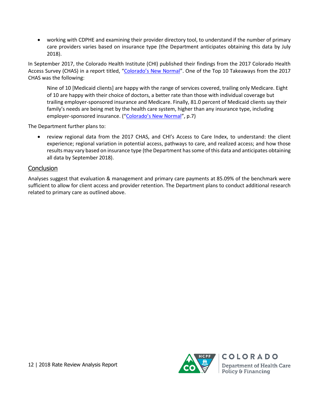• working with CDPHE and examining their provider directory tool, to understand if the number of primary care providers varies based on insurance type (the Department anticipates obtaining this data by July 2018).

In September 2017, the Colorado Health Institute (CHI) published their findings from the 2017 Colorado Health Access Survey (CHAS) in a report titled, ["Colorado's New Normal"](https://www.coloradohealthinstitute.org/sites/default/files/file_attachments/2017%20CHAS%20DESIGN%20FINAL%20for%20Web.pdf). One of the Top 10 Takeaways from the 2017 CHAS was the following:

Nine of 10 [Medicaid clients] are happy with the range of services covered, trailing only Medicare. Eight of 10 are happy with their choice of doctors, a better rate than those with individual coverage but trailing employer-sponsored insurance and Medicare. Finally, 81.0 percent of Medicaid clients say their family's needs are being met by the health care system, higher than any insurance type, including employer-sponsored insurance. (["Colorado's New Normal"](https://www.coloradohealthinstitute.org/sites/default/files/file_attachments/2017%20CHAS%20DESIGN%20FINAL%20for%20Web.pdf), p.7)

The Department further plans to:

• review regional data from the 2017 CHAS, and CHI's Access to Care Index, to understand: the client experience; regional variation in potential access, pathways to care, and realized access; and how those results may vary based on insurance type (the Department has some of this data and anticipates obtaining all data by September 2018).

#### **Conclusion**

Analyses suggest that evaluation & management and primary care payments at 85.09% of the benchmark were sufficient to allow for client access and provider retention. The Department plans to conduct additional research related to primary care as outlined above.

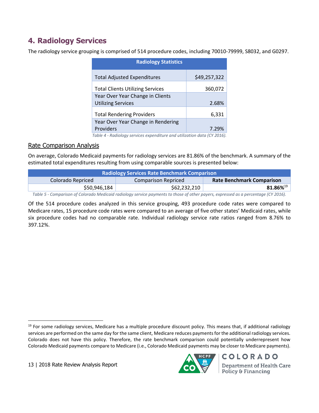# **4. Radiology Services**

The radiology service grouping is comprised of 514 procedure codes, including 70010-79999, S8032, and G0297.

| \$49,257,322 |
|--------------|
| 360,072      |
|              |
| 2.68%        |
| 6,331        |
|              |
| 7.29%        |
|              |

*Table 4 - Radiology services expenditure and utilization data (CY 2016).*

#### Rate Comparison Analysis

On average, Colorado Medicaid payments for radiology services are 81.86% of the benchmark. A summary of the estimated total expenditures resulting from using comparable sources is presented below:

| <b>Radiology Services Rate Benchmark Comparison</b> |                     |                                  |
|-----------------------------------------------------|---------------------|----------------------------------|
| Colorado Repriced                                   | Comparison Repriced | <b>Rate Benchmark Comparison</b> |
| \$50,946,184                                        | \$62,232,210        | $81.86\%^{19}$                   |

*Table 5 - Comparison of Colorado Medicaid radiology service payments to those of other payers, expressed as a percentage (CY 2016).*

Of the 514 procedure codes analyzed in this service grouping, 493 procedure code rates were compared to Medicare rates, 15 procedure code rates were compared to an average of five other states' Medicaid rates, while six procedure codes had no comparable rate. Individual radiology service rate ratios ranged from 8.76% to 397.12%.

13 | 2018 Rate Review Analysis Report

l



<sup>&</sup>lt;sup>19</sup> For some radiology services, Medicare has a multiple procedure discount policy. This means that, if additional radiology services are performed on the same day for the same client, Medicare reduces payments for the additional radiology services. Colorado does not have this policy. Therefore, the rate benchmark comparison could potentially underrepresent how Colorado Medicaid payments compare to Medicare (i.e., Colorado Medicaid payments may be closer to Medicare payments).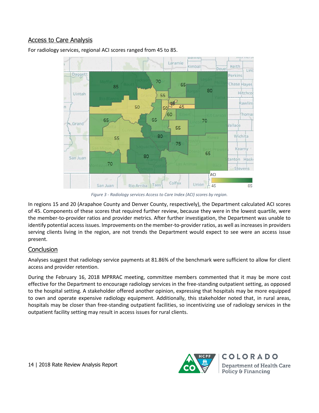#### Access to Care Analysis

Laramie **Kimbal Keith** Deue Linc Daggett erkins 70 **Chase Hayes** 65 85 80 Uintah Hitchco 55  $45 -$ Rawlins  $\overline{45}$ 50 50 60 'homa: 65 65 70 Grand allace 55 80 Wichita 55 75 Kearny 65 80 San Juan anton Hask 70 **Stevens** ACI Colfax Union Taos San Juan Rio Arriba  $-45$  $RT$ 

For radiology services, regional ACI scores ranged from 45 to 85.

*Figure 3 - Radiology services Access to Care Index (ACI) scores by region.*

In regions 15 and 20 (Arapahoe County and Denver County, respectively), the Department calculated ACI scores of 45. Components of these scores that required further review, because they were in the lowest quartile, were the member-to-provider ratios and provider metrics. After further investigation, the Department was unable to identify potential access issues. Improvements on the member-to-provider ratios, as well as increases in providers serving clients living in the region, are not trends the Department would expect to see were an access issue present.

#### **Conclusion**

Analyses suggest that radiology service payments at 81.86% of the benchmark were sufficient to allow for client access and provider retention.

During the February 16, 2018 MPRRAC meeting, committee members commented that it may be more cost effective for the Department to encourage radiology services in the free-standing outpatient setting, as opposed to the hospital setting. A stakeholder offered another opinion, expressing that hospitals may be more equipped to own and operate expensive radiology equipment. Additionally, this stakeholder noted that, in rural areas, hospitals may be closer than free-standing outpatient facilities, so incentivizing use of radiology services in the outpatient facility setting may result in access issues for rural clients.

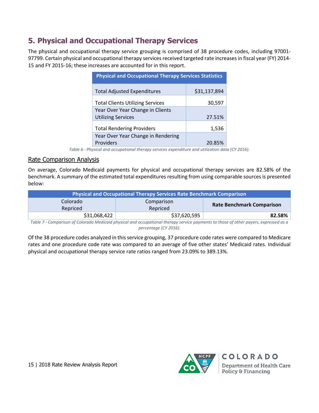# **5. Physical and Occupational Therapy Services**

The physical and occupational therapy service grouping is comprised of 38 procedure codes, including 97001- 97799. Certain physical and occupational therapy services received targeted rate increases in fiscal year (FY) 2014- 15 and FY 2015-16; these increases are accounted for in this report.

| <b>Physical and Occupational Therapy Services Statistics</b> |              |  |
|--------------------------------------------------------------|--------------|--|
| <b>Total Adjusted Expenditures</b>                           | \$31,137,894 |  |
| <b>Total Clients Utilizing Services</b>                      | 30,597       |  |
| Year Over Year Change in Clients                             |              |  |
| <b>Utilizing Services</b>                                    | 27.51%       |  |
| <b>Total Rendering Providers</b>                             | 1,536        |  |
| Year Over Year Change in Rendering                           |              |  |
| <b>Providers</b>                                             | 20.85%       |  |

*Table 6 - Physical and occupational therapy services expenditure and utilization data (CY 2016).*

#### Rate Comparison Analysis

On average, Colorado Medicaid payments for physical and occupational therapy services are 82.58% of the benchmark. A summary of the estimated total expenditures resulting from using comparable sources is presented below:

| Physical and Occupational Therapy Services Rate Benchmark Comparison |                        |                                  |
|----------------------------------------------------------------------|------------------------|----------------------------------|
| Colorado<br>Repriced                                                 | Comparison<br>Repriced | <b>Rate Benchmark Comparison</b> |
| \$31,068,422                                                         | \$37,620,595           | 82.58%                           |

*Table 7 - Comparison of Colorado Medicaid physical and occupational therapy service payments to those of other payers, expressed as a percentage (CY 2016).*

Of the 38 procedure codes analyzed in this service grouping, 37 procedure code rates were compared to Medicare rates and one procedure code rate was compared to an average of five other states' Medicaid rates. Individual physical and occupational therapy service rate ratios ranged from 23.09% to 389.13%.

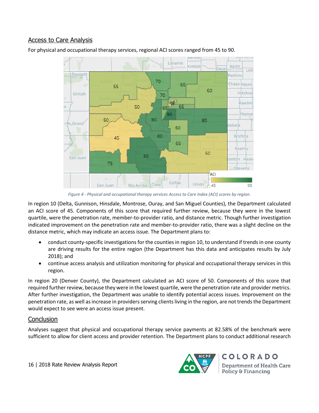#### Access to Care Analysis



For physical and occupational therapy services, regional ACI scores ranged from 45 to 90.

*Figure 4 - Physical and occupational therapy services Access to Care Index (ACI) scores by region.*

In region 10 (Delta, Gunnison, Hinsdale, Montrose, Ouray, and San Miguel Counties), the Department calculated an ACI score of 45. Components of this score that required further review, because they were in the lowest quartile, were the penetration rate, member-to-provider ratio, and distance metric. Though further investigation indicated improvement on the penetration rate and member-to-provider ratio, there was a slight decline on the distance metric, which may indicate an access issue. The Department plans to:

- conduct county-specific investigations for the counties in region 10, to understand if trends in one county are driving results for the entire region (the Department has this data and anticipates results by July 2018); and
- continue access analysis and utilization monitoring for physical and occupational therapy services in this region.

In region 20 (Denver County), the Department calculated an ACI score of 50. Components of this score that required further review, because they were in the lowest quartile, were the penetration rate and provider metrics. After further investigation, the Department was unable to identify potential access issues. Improvement on the penetration rate, as well as increase in providers serving clients living in the region, are not trends the Department would expect to see were an access issue present.

## **Conclusion**

Analyses suggest that physical and occupational therapy service payments at 82.58% of the benchmark were sufficient to allow for client access and provider retention. The Department plans to conduct additional research

16 | 2018 Rate Review Analysis Report

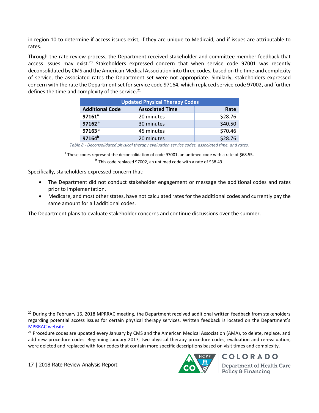in region 10 to determine if access issues exist, if they are unique to Medicaid, and if issues are attributable to rates.

Through the rate review process, the Department received stakeholder and committee member feedback that access issues may exist.<sup>20</sup> Stakeholders expressed concern that when service code 97001 was recently deconsolidated by CMS and the American Medical Association into three codes, based on the time and complexity of service, the associated rates the Department set were not appropriate. Similarly, stakeholders expressed concern with the rate the Department set for service code 97164, which replaced service code 97002, and further defines the time and complexity of the service.<sup>21</sup>

| <b>Updated Physical Therapy Codes</b> |                        |         |
|---------------------------------------|------------------------|---------|
| <b>Additional Code</b>                | <b>Associated Time</b> | Rate    |
| $97161^a$                             | 20 minutes             | \$28.76 |
| 97162 <sup>a</sup>                    | 30 minutes             | \$40.50 |
| 97163 <sup>a</sup>                    | 45 minutes             | \$70.46 |
| 97164 <sup>b</sup>                    | 20 minutes             | \$28.76 |

*Table 8 - Deconsolidated physical therapy evaluation service codes, associated time, and rates.*

**a** These codes represent the deconsolidation of code 97001, an untimed code with a rate of \$68.55. **b** This code replaced 97002, an untimed code with a rate of \$38.49.

Specifically, stakeholders expressed concern that:

- The Department did not conduct stakeholder engagement or message the additional codes and rates prior to implementation.
- Medicare, and most other states, have not calculated rates for the additional codes and currently pay the same amount for all additional codes.

The Department plans to evaluate stakeholder concerns and continue discussions over the summer.

17 | 2018 Rate Review Analysis Report

l



 $20$  During the February 16, 2018 MPRRAC meeting, the Department received additional written feedback from stakeholders regarding potential access issues for certain physical therapy services. Written feedback is located on the Department's [MPRRAC website.](https://www.colorado.gov/pacific/hcpf/medicaid-provider-rate-review-advisory-committee)

<sup>&</sup>lt;sup>21</sup> Procedure codes are updated every January by CMS and the American Medical Association (AMA), to delete, replace, and add new procedure codes. Beginning January 2017, two physical therapy procedure codes, evaluation and re-evaluation, were deleted and replaced with four codes that contain more specific descriptions based on visit times and complexity.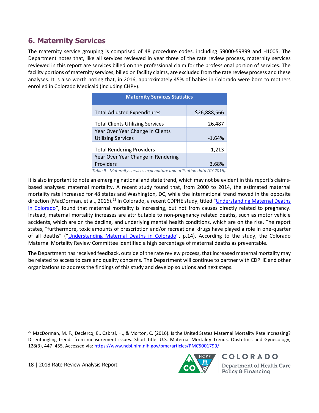# **6. Maternity Services**

The maternity service grouping is comprised of 48 procedure codes, including 59000-59899 and H1005. The Department notes that, like all services reviewed in year three of the rate review process, maternity services reviewed in this report are services billed on the professional claim for the professional portion of services. The facility portions of maternity services, billed on facility claims, are excluded from the rate review process and these analyses. It is also worth noting that, in 2016, approximately 45% of babies in Colorado were born to mothers enrolled in Colorado Medicaid (including CHP+).

| <b>Maternity Services Statistics</b>    |              |  |
|-----------------------------------------|--------------|--|
| <b>Total Adjusted Expenditures</b>      | \$26,888,566 |  |
| <b>Total Clients Utilizing Services</b> | 26,487       |  |
| Year Over Year Change in Clients        |              |  |
| <b>Utilizing Services</b>               | $-1.64%$     |  |
| <b>Total Rendering Providers</b>        | 1,213        |  |
| Year Over Year Change in Rendering      |              |  |
| Providers                               | 3.68%        |  |

*Table 9 - Maternity services expenditure and utilization data (CY 2016).*

It is also important to note an emerging national and state trend, which may not be evident in this report's claimsbased analyses: maternal mortality. A recent study found that, from 2000 to 2014, the estimated maternal mortality rate increased for 48 states and Washington, DC, while the international trend moved in the opposite direction (MacDorman, et al., 2016).<sup>22</sup> In Colorado, a recent CDPHE study, titled "Understanding Maternal Deaths [in Colorado](https://www.colorado.gov/pacific/sites/default/files/PF_Maternal_Mortality_Colorado-12-01-17.pdf)", found that maternal mortality is increasing, but not from causes directly related to pregnancy. Instead, maternal mortality increases are attributable to non-pregnancy related deaths, such as motor vehicle accidents, which are on the decline, and underlying mental health conditions, which are on the rise. The report states, "furthermore, toxic amounts of prescription and/or recreational drugs have played a role in one-quarter of all deaths" ("[Understanding Maternal Deaths in Colorado](https://www.colorado.gov/pacific/sites/default/files/PF_Maternal_Mortality_Colorado-12-01-17.pdf)", p.14). According to the study, the Colorado Maternal Mortality Review Committee identified a high percentage of maternal deaths as preventable.

The Department has received feedback, outside of the rate review process, that increased maternal mortality may be related to access to care and quality concerns. The Department will continue to partner with CDPHE and other organizations to address the findings of this study and develop solutions and next steps.

18 | 2018 Rate Review Analysis Report

 $\overline{a}$ 



<sup>&</sup>lt;sup>22</sup> MacDorman, M. F., Declercq, E., Cabral, H., & Morton, C. (2016). Is the United States Maternal Mortality Rate Increasing? Disentangling trends from measurement issues. Short title: U.S. Maternal Mortality Trends. Obstetrics and Gynecology, 128(3), 447–455. Accessed via[: https://www.ncbi.nlm.nih.gov/pmc/articles/PMC5001799/.](https://www.ncbi.nlm.nih.gov/pmc/articles/PMC5001799/)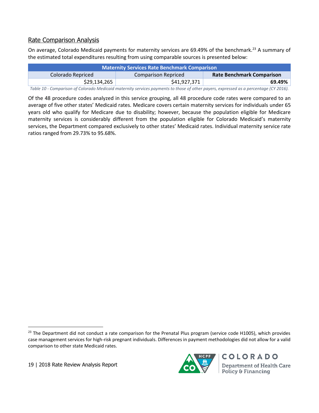### Rate Comparison Analysis

On average, Colorado Medicaid payments for maternity services are 69.49% of the benchmark.<sup>23</sup> A summary of the estimated total expenditures resulting from using comparable sources is presented below:

| <b>Maternity Services Rate Benchmark Comparison</b> |                     |                                  |
|-----------------------------------------------------|---------------------|----------------------------------|
| Colorado Repriced                                   | Comparison Repriced | <b>Rate Benchmark Comparison</b> |
| \$29,134,265                                        | \$41,927,371        | 69.49%                           |
|                                                     |                     |                                  |

*Table 10 - Comparison of Colorado Medicaid maternity services payments to those of other payers, expressed as a percentage (CY 2016).*

Of the 48 procedure codes analyzed in this service grouping, all 48 procedure code rates were compared to an average of five other states' Medicaid rates. Medicare covers certain maternity services for individuals under 65 years old who qualify for Medicare due to disability; however, because the population eligible for Medicare maternity services is considerably different from the population eligible for Colorado Medicaid's maternity services, the Department compared exclusively to other states' Medicaid rates. Individual maternity service rate ratios ranged from 29.73% to 95.68%.

19 | 2018 Rate Review Analysis Report

 $\overline{a}$ 



<sup>&</sup>lt;sup>23</sup> The Department did not conduct a rate comparison for the Prenatal Plus program (service code H1005), which provides case management services for high-risk pregnant individuals. Differences in payment methodologies did not allow for a valid comparison to other state Medicaid rates.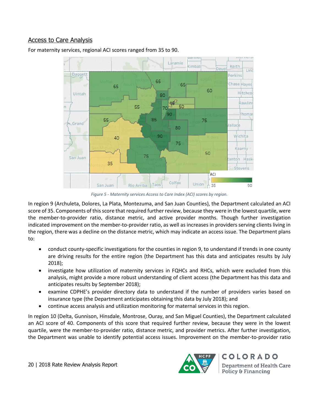#### Access to Care Analysis

Laramie **Gimbal** Deue Daggett 65 65 65 60 Uintah 80

55

For maternity services, regional ACI scores ranged from 35 to 90.

55



85

45

 $70$ 90 50

75

*Figure 5 - Maternity services Access to Care Index (ACI) scores by region.*

In region 9 (Archuleta, Dolores, La Plata, Montezuma, and San Juan Counties), the Department calculated an ACI score of 35. Components of this score that required further review, because they were in the lowest quartile, were the member-to-provider ratio, distance metric, and active provider months. Though further investigation indicated improvement on the member-to-provider ratio, as well as increases in providers serving clients living in the region, there was a decline on the distance metric, which may indicate an access issue. The Department plans to:

- conduct county-specific investigations for the counties in region 9, to understand if trends in one county are driving results for the entire region (the Department has this data and anticipates results by July 2018);
- investigate how utilization of maternity services in FQHCs and RHCs, which were excluded from this analysis, might provide a more robust understanding of client access (the Department has this data and anticipates results by September 2018);
- examine CDPHE's provider directory data to understand if the number of providers varies based on insurance type (the Department anticipates obtaining this data by July 2018); and
- continue access analysis and utilization monitoring for maternal services in this region.

In region 10 (Delta, Gunnison, Hinsdale, Montrose, Ouray, and San Miguel Counties), the Department calculated an ACI score of 40. Components of this score that required further review, because they were in the lowest quartile, were the member-to-provider ratio, distance metric, and provider metrics. After further investigation, the Department was unable to identify potential access issues. Improvement on the member-to-provider ratio



Keith

Perkins

**Chase Hayes** 

Hitchco

Rawlin:

Thoma:

Linc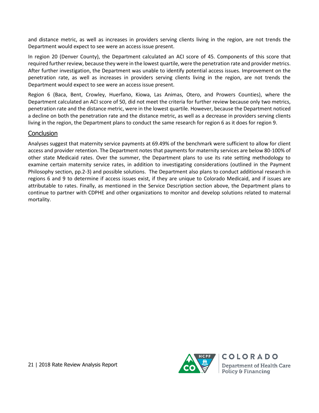and distance metric, as well as increases in providers serving clients living in the region, are not trends the Department would expect to see were an access issue present.

In region 20 (Denver County), the Department calculated an ACI score of 45. Components of this score that required further review, because they were in the lowest quartile, were the penetration rate and provider metrics. After further investigation, the Department was unable to identify potential access issues. Improvement on the penetration rate, as well as increases in providers serving clients living in the region, are not trends the Department would expect to see were an access issue present.

Region 6 (Baca, Bent, Crowley, Huerfano, Kiowa, Las Animas, Otero, and Prowers Counties), where the Department calculated an ACI score of 50, did not meet the criteria for further review because only two metrics, penetration rate and the distance metric, were in the lowest quartile. However, because the Department noticed a decline on both the penetration rate and the distance metric, as well as a decrease in providers serving clients living in the region, the Department plans to conduct the same research for region 6 as it does for region 9.

#### Conclusion

Analyses suggest that maternity service payments at 69.49% of the benchmark were sufficient to allow for client access and provider retention. The Department notes that payments for maternity services are below 80-100% of other state Medicaid rates. Over the summer, the Department plans to use its rate setting methodology to examine certain maternity service rates, in addition to investigating considerations (outlined in the Payment Philosophy section, pp.2-3) and possible solutions. The Department also plans to conduct additional research in regions 6 and 9 to determine if access issues exist, if they are unique to Colorado Medicaid, and if issues are attributable to rates. Finally, as mentioned in the Service Description section above, the Department plans to continue to partner with CDPHE and other organizations to monitor and develop solutions related to maternal mortality.

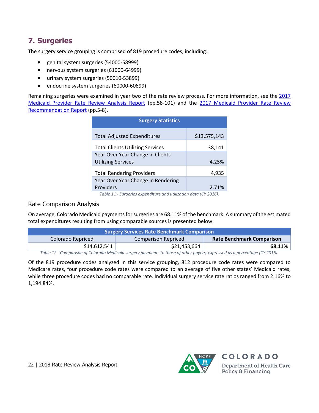# **7. Surgeries**

The surgery service grouping is comprised of 819 procedure codes, including:

- genital system surgeries (54000-58999)
- nervous system surgeries (61000-64999)
- urinary system surgeries (50010-53899)
- endocrine system surgeries (60000-60699)

Remaining surgeries were examined in year two of the rate review process. For more information, see th[e 2017](https://www.colorado.gov/pacific/sites/default/files/2017%20Medicaid%20Provider%20Rate%20Review%20Analysis%20Report%20-%20Physician%20Services%2C%20Surgery%2C%20and%20Anesthesia.pdf) [Medicaid Provider Rate Review Analysis Report](https://www.colorado.gov/pacific/sites/default/files/2017%20Medicaid%20Provider%20Rate%20Review%20Analysis%20Report%20-%20Physician%20Services%2C%20Surgery%2C%20and%20Anesthesia.pdf) (pp.58-101) and the [2017 Medicaid Provider Rate Review](https://www.colorado.gov/pacific/sites/default/files/2017%20Medicaid%20Provider%20Rate%20Review%20Recommendation%20Report%20November%202017.pdf)  [Recommendation Report](https://www.colorado.gov/pacific/sites/default/files/2017%20Medicaid%20Provider%20Rate%20Review%20Recommendation%20Report%20November%202017.pdf) (pp.5-8).

| <b>Surgery Statistics</b>               |              |
|-----------------------------------------|--------------|
| <b>Total Adjusted Expenditures</b>      | \$13,575,143 |
| <b>Total Clients Utilizing Services</b> | 38,141       |
| Year Over Year Change in Clients        |              |
| <b>Utilizing Services</b>               | 4.25%        |
| <b>Total Rendering Providers</b>        | 4,935        |
| Year Over Year Change in Rendering      |              |
| Providers                               | 2.71%        |

*Table 11 - Surgeries expenditure and utilization data (CY 2016).*

#### Rate Comparison Analysis

On average, Colorado Medicaid payments for surgeries are 68.11% of the benchmark. A summary of the estimated total expenditures resulting from using comparable sources is presented below:

| <b>Surgery Services Rate Benchmark Comparison</b> |                     |                                  |  |  |  |
|---------------------------------------------------|---------------------|----------------------------------|--|--|--|
| Colorado Repriced                                 | Comparison Repriced | <b>Rate Benchmark Comparison</b> |  |  |  |
| \$14,612,541                                      | \$21,453,664        | 68.11%                           |  |  |  |
| .                                                 |                     |                                  |  |  |  |

*Table 12 - Comparison of Colorado Medicaid surgery payments to those of other payers, expressed as a percentage (CY 2016).*

Of the 819 procedure codes analyzed in this service grouping, 812 procedure code rates were compared to Medicare rates, four procedure code rates were compared to an average of five other states' Medicaid rates, while three procedure codes had no comparable rate. Individual surgery service rate ratios ranged from 2.16% to 1,194.84%.

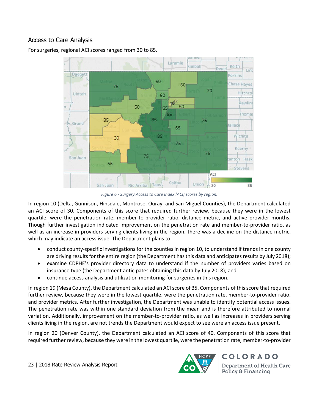#### Access to Care Analysis

For surgeries, regional ACI scores ranged from 30 to 85.



*Figure 6 - Surgery Access to Care Index (ACI) scores by region.*

In region 10 (Delta, Gunnison, Hinsdale, Montrose, Ouray, and San Miguel Counties), the Department calculated an ACI score of 30. Components of this score that required further review, because they were in the lowest quartile, were the penetration rate, member-to-provider ratio, distance metric, and active provider months. Though further investigation indicated improvement on the penetration rate and member-to-provider ratio, as well as an increase in providers serving clients living in the region, there was a decline on the distance metric, which may indicate an access issue. The Department plans to:

- conduct county-specific investigations for the counties in region 10, to understand if trends in one county are driving results for the entire region (the Department has this data and anticipates results by July 2018);
- examine CDPHE's provider directory data to understand if the number of providers varies based on insurance type (the Department anticipates obtaining this data by July 2018); and
- continue access analysis and utilization monitoring for surgeries in this region.

In region 19 (Mesa County), the Department calculated an ACI score of 35. Components of this score that required further review, because they were in the lowest quartile, were the penetration rate, member-to-provider ratio, and provider metrics. After further investigation, the Department was unable to identify potential access issues. The penetration rate was within one standard deviation from the mean and is therefore attributed to normal variation. Additionally, improvement on the member-to-provider ratio, as well as increases in providers serving clients living in the region, are not trends the Department would expect to see were an access issue present.

In region 20 (Denver County), the Department calculated an ACI score of 40. Components of this score that required further review, because they were in the lowest quartile, were the penetration rate, member-to-provider

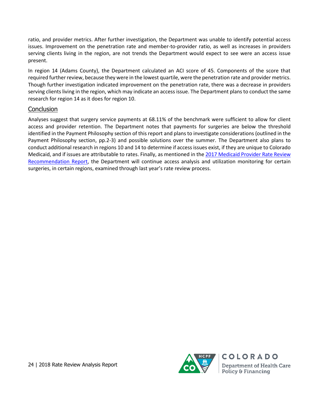ratio, and provider metrics. After further investigation, the Department was unable to identify potential access issues. Improvement on the penetration rate and member-to-provider ratio, as well as increases in providers serving clients living in the region, are not trends the Department would expect to see were an access issue present.

In region 14 (Adams County), the Department calculated an ACI score of 45. Components of the score that required further review, because they were in the lowest quartile, were the penetration rate and provider metrics. Though further investigation indicated improvement on the penetration rate, there was a decrease in providers serving clients living in the region, which may indicate an access issue. The Department plans to conduct the same research for region 14 as it does for region 10.

#### **Conclusion**

Analyses suggest that surgery service payments at 68.11% of the benchmark were sufficient to allow for client access and provider retention. The Department notes that payments for surgeries are below the threshold identified in the Payment Philosophy section of this report and plans to investigate considerations (outlined in the Payment Philosophy section, pp.2-3) and possible solutions over the summer. The Department also plans to conduct additional research in regions 10 and 14 to determine if access issues exist, if they are unique to Colorado Medicaid, and if issues are attributable to rates. Finally, as mentioned in the 2017 Medicaid Provider Rate Review [Recommendation Report,](https://www.colorado.gov/pacific/sites/default/files/2017%20Medicaid%20Provider%20Rate%20Review%20Recommendation%20Report%20November%202017.pdf) the Department will continue access analysis and utilization monitoring for certain surgeries, in certain regions, examined through last year's rate review process.



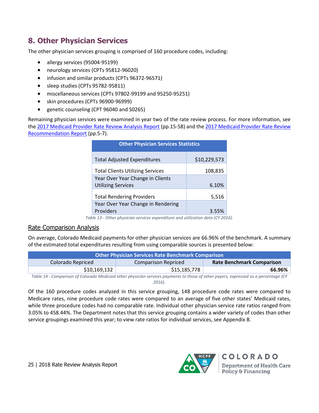# **8. Other Physician Services**

The other physician services grouping is comprised of 160 procedure codes, including:

- allergy services (95004-95199)
- neurology services (CPTs 95812-96020)
- infusion and similar products (CPTs 96372-96571)
- sleep studies (CPTs 95782-95811)
- miscellaneous services (CPTs 97802-99199 and 95250-95251)
- skin procedures (CPTs 96900-96999)
- genetic counseling (CPT 96040 and S0265)

Remaining physician services were examined in year two of the rate review process. For more information, see the [2017 Medicaid Provider Rate Review Analysis Report](https://www.colorado.gov/pacific/sites/default/files/2017%20Medicaid%20Provider%20Rate%20Review%20Analysis%20Report%20-%20Physician%20Services%2C%20Surgery%2C%20and%20Anesthesia.pdf) (pp.15-58) and th[e 2017 Medicaid Provider Rate Review](https://www.colorado.gov/pacific/sites/default/files/2017%20Medicaid%20Provider%20Rate%20Review%20Recommendation%20Report%20November%202017.pdf)  [Recommendation Report](https://www.colorado.gov/pacific/sites/default/files/2017%20Medicaid%20Provider%20Rate%20Review%20Recommendation%20Report%20November%202017.pdf) (pp.5-7).

| <b>Other Physician Services Statistics</b> |              |  |  |  |
|--------------------------------------------|--------------|--|--|--|
| <b>Total Adjusted Expenditures</b>         | \$10,229,573 |  |  |  |
| <b>Total Clients Utilizing Services</b>    | 108,835      |  |  |  |
| Year Over Year Change in Clients           |              |  |  |  |
| <b>Utilizing Services</b>                  | 6.10%        |  |  |  |
| <b>Total Rendering Providers</b>           | 5,516        |  |  |  |
| Year Over Year Change in Rendering         |              |  |  |  |
| Providers                                  | 3.55%        |  |  |  |

*Table 13 - Other physician services expenditure and utilization data (CY 2016).*

#### Rate Comparison Analysis

On average, Colorado Medicaid payments for other physician services are 66.96% of the benchmark. A summary of the estimated total expenditures resulting from using comparable sources is presented below:

| <b>Other Physician Services Rate Benchmark Comparison</b>                                                                       |                     |                                  |  |  |
|---------------------------------------------------------------------------------------------------------------------------------|---------------------|----------------------------------|--|--|
| Colorado Repriced                                                                                                               | Comparison Repriced | <b>Rate Benchmark Comparison</b> |  |  |
| \$10,169,132                                                                                                                    | \$15,185,778        | 66.96%                           |  |  |
| Table 11, Companion of Colombia Madienid other abusising consistencements to these of other conservation our conservations (CV) |                     |                                  |  |  |

*Table 14 - Comparison of Colorado Medicaid other physician services payments to those of other payers, expressed as a percentage (CY 2016).*

Of the 160 procedure codes analyzed in this service grouping, 148 procedure code rates were compared to Medicare rates, nine procedure code rates were compared to an average of five other states' Medicaid rates, while three procedure codes had no comparable rate. Individual other physician service rate ratios ranged from 3.05% to 458.44%. The Department notes that this service grouping contains a wider variety of codes than other service groupings examined this year; to view rate ratios for individual services, see Appendix B.

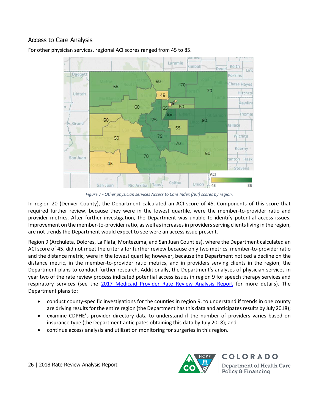#### Access to Care Analysis



For other physician services, regional ACI scores ranged from 45 to 85.

*Figure 7 - Other physician services Access to Care Index (ACI) scores by region.*

In region 20 (Denver County), the Department calculated an ACI score of 45. Components of this score that required further review, because they were in the lowest quartile, were the member-to-provider ratio and provider metrics. After further investigation, the Department was unable to identify potential access issues. Improvement on the member-to-provider ratio, as well as increases in providers serving clients living in the region, are not trends the Department would expect to see were an access issue present.

Region 9 (Archuleta, Dolores, La Plata, Montezuma, and San Juan Counties), where the Department calculated an ACI score of 45, did not meet the criteria for further review because only two metrics, member-to-provider ratio and the distance metric, were in the lowest quartile; however, because the Department noticed a decline on the distance metric, in the member-to-provider ratio metrics, and in providers serving clients in the region, the Department plans to conduct further research. Additionally, the Department's analyses of physician services in year two of the rate review process indicated potential access issues in region 9 for speech therapy services and respiratory services (see the [2017 Medicaid Provider Rate Review Analysis](https://www.colorado.gov/pacific/sites/default/files/2017%20Medicaid%20Provider%20Rate%20Review%20Analysis%20Report%20-%20Physician%20Services%2C%20Surgery%2C%20and%20Anesthesia.pdf) Report for more details). The Department plans to:

- conduct county-specific investigations for the counties in region 9, to understand if trends in one county are driving results for the entire region (the Department has this data and anticipates results by July 2018);
- examine CDPHE's provider directory data to understand if the number of providers varies based on insurance type (the Department anticipates obtaining this data by July 2018); and
- continue access analysis and utilization monitoring for surgeries in this region.



COLORADO **Department of Health Care** Policy & Financing

26 | 2018 Rate Review Analysis Report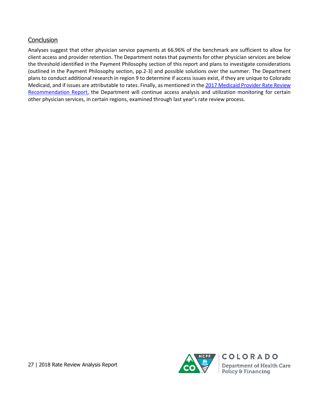### **Conclusion**

Analyses suggest that other physician service payments at 66.96% of the benchmark are sufficient to allow for client access and provider retention. The Department notes that payments for other physician services are below the threshold identified in the Payment Philosophy section of this report and plans to investigate considerations (outlined in the Payment Philosophy section, pp.2-3) and possible solutions over the summer. The Department plans to conduct additional research in region 9 to determine if access issues exist, if they are unique to Colorado Medicaid, and if issues are attributable to rates. Finally, as mentioned in the 2017 Medicaid Provider Rate Review [Recommendation Report,](https://www.colorado.gov/pacific/sites/default/files/2017%20Medicaid%20Provider%20Rate%20Review%20Recommendation%20Report%20November%202017.pdf) the Department will continue access analysis and utilization monitoring for certain other physician services, in certain regions, examined through last year's rate review process.

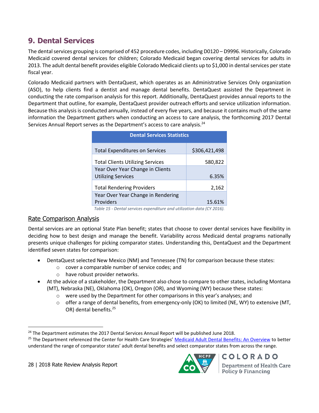# **9. Dental Services**

The dental services grouping is comprised of 452 procedure codes, including D0120 – D9996. Historically, Colorado Medicaid covered dental services for children; Colorado Medicaid began covering dental services for adults in 2013. The adult dental benefit provides eligible Colorado Medicaid clients up to \$1,000 in dental services per state fiscal year.

Colorado Medicaid partners with DentaQuest, which operates as an Administrative Services Only organization (ASO), to help clients find a dentist and manage dental benefits. DentaQuest assisted the Department in conducting the rate comparison analysis for this report. Additionally, DentaQuest provides annual reports to the Department that outline, for example, DentaQuest provider outreach efforts and service utilization information. Because this analysis is conducted annually, instead of every five years, and because it contains much of the same information the Department gathers when conducting an access to care analysis, the forthcoming 2017 Dental Services Annual Report serves as the Department's access to care analysis.<sup>24</sup>

| <b>Dental Services Statistics</b>                                     |               |  |  |  |
|-----------------------------------------------------------------------|---------------|--|--|--|
| <b>Total Expenditures on Services</b>                                 | \$306,421,498 |  |  |  |
| <b>Total Clients Utilizing Services</b>                               | 580,822       |  |  |  |
| Year Over Year Change in Clients                                      |               |  |  |  |
| <b>Utilizing Services</b>                                             | 6.35%         |  |  |  |
| <b>Total Rendering Providers</b>                                      | 2,162         |  |  |  |
| Year Over Year Change in Rendering                                    |               |  |  |  |
| Providers                                                             | 15.61%        |  |  |  |
| Table 15 - Dental services expenditure and utilization data (CY 2016) |               |  |  |  |

#### *Table 15 - Dental services expenditure and utilization data (CY 2016).*

## Rate Comparison Analysis

Dental services are an optional State Plan benefit; states that choose to cover dental services have flexibility in deciding how to best design and manage the benefit. Variability across Medicaid dental programs nationally presents unique challenges for picking comparator states. Understanding this, DentaQuest and the Department identified seven states for comparison:

- DentaQuest selected New Mexico (NM) and Tennessee (TN) for comparison because these states:
	- o cover a comparable number of service codes; and
	- o have robust provider networks.
- At the advice of a stakeholder, the Department also chose to compare to other states, including Montana (MT), Nebraska (NE), Oklahoma (OK), Oregon (OR), and Wyoming (WY) because these states:
	- $\circ$  were used by the Department for other comparisons in this year's analyses; and
	- $\circ$  offer a range of dental benefits, from emergency-only (OK) to limited (NE, WY) to extensive (MT, OR) dental benefits.<sup>25</sup>

28 | 2018 Rate Review Analysis Report

 $\overline{a}$ 



**Department of Health Care Policy & Financing** 

**COLORADO** 

<sup>&</sup>lt;sup>24</sup> The Department estimates the 2017 Dental Services Annual Report will be published June 2018.

<sup>&</sup>lt;sup>25</sup> The Department referenced the Center for Health Care Strategies' [Medicaid Adult Dental Benefits: An Overview](https://www.chcs.org/media/Adult-Oral-Health-Fact-Sheet_011618.pdf) to better understand the range of comparator states' adult dental benefits and select comparator states from across the range.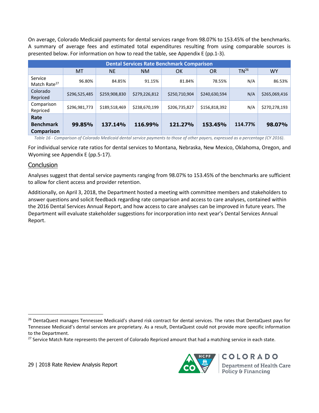On average, Colorado Medicaid payments for dental services range from 98.07% to 153.45% of the benchmarks. A summary of average fees and estimated total expenditures resulting from using comparable sources is presented below. For information on how to read the table, see Appendix E (pp.1-3).

| <b>Dental Services Rate Benchmark Comparison</b> |               |               |               |               |               |           |               |  |
|--------------------------------------------------|---------------|---------------|---------------|---------------|---------------|-----------|---------------|--|
|                                                  | <b>MT</b>     | <b>NE</b>     | <b>NM</b>     | OK            | <b>OR</b>     | $TN^{26}$ | <b>WY</b>     |  |
| Service<br>Match Rate <sup>27</sup>              | 96.80%        | 84.85%        | 91.15%        | 81.84%        | 78.55%        | N/A       | 86.53%        |  |
| Colorado<br>Repriced                             | \$296,525,485 | \$259,908,830 | \$279,226,812 | \$250,710,904 | \$240,630,594 | N/A       | \$265,069,416 |  |
| Comparison<br>Repriced                           | \$296,981,773 | \$189,518,469 | \$238,670,199 | \$206,735,827 | \$156,818,392 | N/A       | \$270,278,193 |  |
| Rate<br><b>Benchmark</b><br>Comparison           | 99.85%        | 137.14%       | 116.99%       | 121.27%       | 153.45%       | 114.77%   | 98.07%        |  |

*Table 16 - Comparison of Colorado Medicaid dental service payments to those of other payers, expressed as a percentage (CY 2016).*

For individual service rate ratios for dental services to Montana, Nebraska, New Mexico, Oklahoma, Oregon, and Wyoming see Appendix E (pp.5-17).

#### **Conclusion**

l

Analyses suggest that dental service payments ranging from 98.07% to 153.45% of the benchmarks are sufficient to allow for client access and provider retention.

Additionally, on April 3, 2018, the Department hosted a meeting with committee members and stakeholders to answer questions and solicit feedback regarding rate comparison and access to care analyses, contained within the 2016 Dental Services Annual Report, and how access to care analyses can be improved in future years. The Department will evaluate stakeholder suggestions for incorporation into next year's Dental Services Annual Report.



<sup>&</sup>lt;sup>26</sup> DentaQuest manages Tennessee Medicaid's shared risk contract for dental services. The rates that DentaQuest pays for Tennessee Medicaid's dental services are proprietary. As a result, DentaQuest could not provide more specific information to the Department.

<sup>&</sup>lt;sup>27</sup> Service Match Rate represents the percent of Colorado Repriced amount that had a matching service in each state.